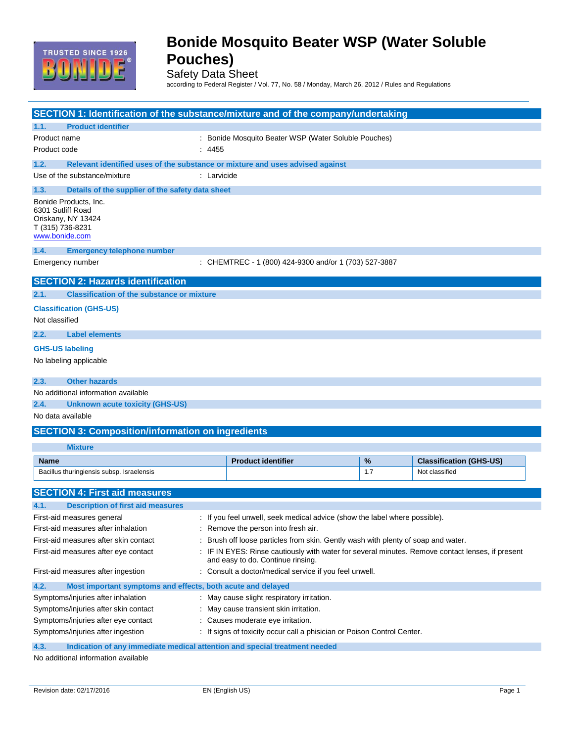

Safety Data Sheet

according to Federal Register / Vol. 77, No. 58 / Monday, March 26, 2012 / Rules and Regulations

|                                                                                  | SECTION 1: Identification of the substance/mixture and of the company/undertaking                      |                                                                                                                                       |                                                                                 |     |                                |
|----------------------------------------------------------------------------------|--------------------------------------------------------------------------------------------------------|---------------------------------------------------------------------------------------------------------------------------------------|---------------------------------------------------------------------------------|-----|--------------------------------|
| 1.1.                                                                             | <b>Product identifier</b>                                                                              |                                                                                                                                       |                                                                                 |     |                                |
| Product name                                                                     |                                                                                                        |                                                                                                                                       | : Bonide Mosquito Beater WSP (Water Soluble Pouches)                            |     |                                |
| Product code                                                                     |                                                                                                        | : 4455                                                                                                                                |                                                                                 |     |                                |
| 1.2.                                                                             | Relevant identified uses of the substance or mixture and uses advised against                          |                                                                                                                                       |                                                                                 |     |                                |
|                                                                                  | Use of the substance/mixture                                                                           | : Larvicide                                                                                                                           |                                                                                 |     |                                |
| 1.3.                                                                             | Details of the supplier of the safety data sheet                                                       |                                                                                                                                       |                                                                                 |     |                                |
|                                                                                  | Bonide Products, Inc.<br>6301 Sutliff Road<br>Oriskany, NY 13424<br>T (315) 736-8231<br>www.bonide.com |                                                                                                                                       |                                                                                 |     |                                |
| 1.4.                                                                             | <b>Emergency telephone number</b>                                                                      |                                                                                                                                       |                                                                                 |     |                                |
|                                                                                  | Emergency number                                                                                       |                                                                                                                                       | : CHEMTREC - 1 (800) 424-9300 and/or 1 (703) 527-3887                           |     |                                |
|                                                                                  | <b>SECTION 2: Hazards identification</b>                                                               |                                                                                                                                       |                                                                                 |     |                                |
| 2.1.                                                                             | <b>Classification of the substance or mixture</b>                                                      |                                                                                                                                       |                                                                                 |     |                                |
|                                                                                  | <b>Classification (GHS-US)</b>                                                                         |                                                                                                                                       |                                                                                 |     |                                |
| Not classified                                                                   |                                                                                                        |                                                                                                                                       |                                                                                 |     |                                |
| 2.2.                                                                             | <b>Label elements</b>                                                                                  |                                                                                                                                       |                                                                                 |     |                                |
|                                                                                  | <b>GHS-US labeling</b>                                                                                 |                                                                                                                                       |                                                                                 |     |                                |
|                                                                                  | No labeling applicable                                                                                 |                                                                                                                                       |                                                                                 |     |                                |
|                                                                                  |                                                                                                        |                                                                                                                                       |                                                                                 |     |                                |
| 2.3.                                                                             | <b>Other hazards</b>                                                                                   |                                                                                                                                       |                                                                                 |     |                                |
|                                                                                  | No additional information available                                                                    |                                                                                                                                       |                                                                                 |     |                                |
| 2.4.                                                                             | <b>Unknown acute toxicity (GHS-US)</b><br>No data available                                            |                                                                                                                                       |                                                                                 |     |                                |
|                                                                                  |                                                                                                        |                                                                                                                                       |                                                                                 |     |                                |
|                                                                                  | <b>SECTION 3: Composition/information on ingredients</b>                                               |                                                                                                                                       |                                                                                 |     |                                |
|                                                                                  | <b>Mixture</b>                                                                                         |                                                                                                                                       |                                                                                 |     |                                |
| <b>Name</b>                                                                      |                                                                                                        |                                                                                                                                       | <b>Product identifier</b>                                                       | %   | <b>Classification (GHS-US)</b> |
|                                                                                  | Bacillus thuringiensis subsp. Israelensis                                                              |                                                                                                                                       |                                                                                 | 1.7 | Not classified                 |
|                                                                                  | <b>SECTION 4: First aid measures</b>                                                                   |                                                                                                                                       |                                                                                 |     |                                |
| 4.1.                                                                             | <b>Description of first aid measures</b>                                                               |                                                                                                                                       |                                                                                 |     |                                |
|                                                                                  | First-aid measures general                                                                             |                                                                                                                                       | : If you feel unwell, seek medical advice (show the label where possible).      |     |                                |
|                                                                                  | First-aid measures after inhalation                                                                    | Remove the person into fresh air.                                                                                                     |                                                                                 |     |                                |
|                                                                                  | First-aid measures after skin contact                                                                  |                                                                                                                                       | Brush off loose particles from skin. Gently wash with plenty of soap and water. |     |                                |
| First-aid measures after eye contact                                             |                                                                                                        | : IF IN EYES: Rinse cautiously with water for several minutes. Remove contact lenses, if present<br>and easy to do. Continue rinsing. |                                                                                 |     |                                |
| First-aid measures after ingestion                                               |                                                                                                        |                                                                                                                                       | : Consult a doctor/medical service if you feel unwell.                          |     |                                |
| 4.2.                                                                             | Most important symptoms and effects, both acute and delayed                                            |                                                                                                                                       |                                                                                 |     |                                |
| Symptoms/injuries after inhalation<br>: May cause slight respiratory irritation. |                                                                                                        |                                                                                                                                       |                                                                                 |     |                                |
| Symptoms/injuries after skin contact                                             |                                                                                                        |                                                                                                                                       | May cause transient skin irritation.                                            |     |                                |
| Symptoms/injuries after eye contact                                              |                                                                                                        |                                                                                                                                       | : Causes moderate eye irritation.                                               |     |                                |
|                                                                                  | Symptoms/injuries after ingestion                                                                      |                                                                                                                                       | : If signs of toxicity occur call a phisician or Poison Control Center.         |     |                                |
| 4.3.                                                                             | Indication of any immediate medical attention and special treatment needed                             |                                                                                                                                       |                                                                                 |     |                                |

No additional information available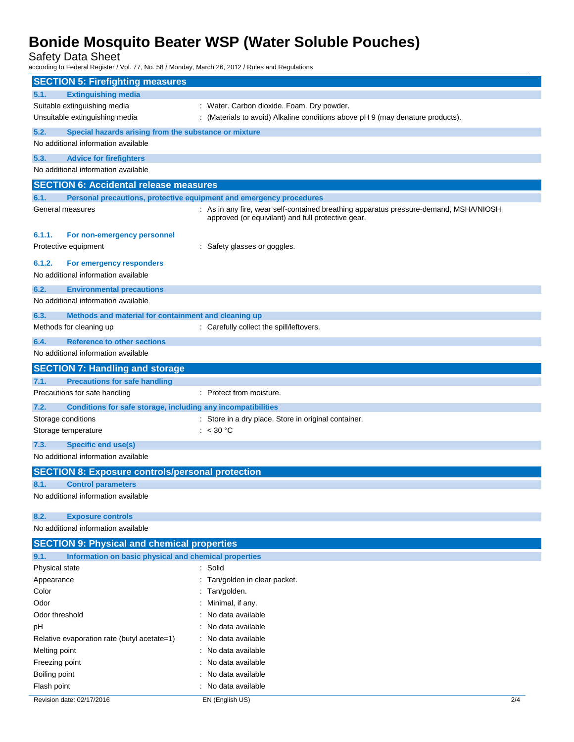Safety Data Sheet

according to Federal Register / Vol. 77, No. 58 / Monday, March 26, 2012 / Rules and Regulations

| <b>SECTION 5: Firefighting measures</b>                                         |                                                                                                                                             |     |
|---------------------------------------------------------------------------------|---------------------------------------------------------------------------------------------------------------------------------------------|-----|
| <b>Extinguishing media</b><br>5.1.                                              |                                                                                                                                             |     |
| Suitable extinguishing media                                                    | : Water. Carbon dioxide. Foam. Dry powder.                                                                                                  |     |
| Unsuitable extinguishing media                                                  | : (Materials to avoid) Alkaline conditions above pH 9 (may denature products).                                                              |     |
| 5.2.<br>Special hazards arising from the substance or mixture                   |                                                                                                                                             |     |
| No additional information available                                             |                                                                                                                                             |     |
| <b>Advice for firefighters</b><br>5.3.                                          |                                                                                                                                             |     |
| No additional information available                                             |                                                                                                                                             |     |
| <b>SECTION 6: Accidental release measures</b>                                   |                                                                                                                                             |     |
| 6.1.                                                                            | Personal precautions, protective equipment and emergency procedures                                                                         |     |
| General measures                                                                | : As in any fire, wear self-contained breathing apparatus pressure-demand, MSHA/NIOSH<br>approved (or equivilant) and full protective gear. |     |
| 6.1.1.<br>For non-emergency personnel                                           |                                                                                                                                             |     |
| Protective equipment                                                            | : Safety glasses or goggles.                                                                                                                |     |
|                                                                                 |                                                                                                                                             |     |
| 6.1.2.<br>For emergency responders<br>No additional information available       |                                                                                                                                             |     |
|                                                                                 |                                                                                                                                             |     |
| 6.2.<br><b>Environmental precautions</b><br>No additional information available |                                                                                                                                             |     |
|                                                                                 |                                                                                                                                             |     |
| Methods and material for containment and cleaning up<br>6.3.                    |                                                                                                                                             |     |
| Methods for cleaning up                                                         | : Carefully collect the spill/leftovers.                                                                                                    |     |
| <b>Reference to other sections</b><br>6.4.                                      |                                                                                                                                             |     |
| No additional information available                                             |                                                                                                                                             |     |
| <b>SECTION 7: Handling and storage</b>                                          |                                                                                                                                             |     |
| <b>Precautions for safe handling</b><br>7.1.                                    |                                                                                                                                             |     |
| Precautions for safe handling                                                   | : Protect from moisture.                                                                                                                    |     |
| Conditions for safe storage, including any incompatibilities<br>7.2.            |                                                                                                                                             |     |
| Storage conditions                                                              | : Store in a dry place. Store in original container.                                                                                        |     |
| Storage temperature                                                             | : $< 30 °C$                                                                                                                                 |     |
| <b>Specific end use(s)</b><br>7.3.                                              |                                                                                                                                             |     |
| No additional information available                                             |                                                                                                                                             |     |
| <b>SECTION 8: Exposure controls/personal protection</b>                         |                                                                                                                                             |     |
| <b>Control parameters</b><br>8.1.                                               |                                                                                                                                             |     |
| No additional information available                                             |                                                                                                                                             |     |
| 8.2.<br><b>Exposure controls</b>                                                |                                                                                                                                             |     |
| No additional information available                                             |                                                                                                                                             |     |
| <b>SECTION 9: Physical and chemical properties</b>                              |                                                                                                                                             |     |
| Information on basic physical and chemical properties<br>9.1.                   |                                                                                                                                             |     |
| Physical state                                                                  | : Solid                                                                                                                                     |     |
| Appearance                                                                      | Tan/golden in clear packet.                                                                                                                 |     |
| Color                                                                           | Tan/golden.                                                                                                                                 |     |
| Odor                                                                            | Minimal, if any.                                                                                                                            |     |
| Odor threshold                                                                  | No data available                                                                                                                           |     |
| рH                                                                              | No data available                                                                                                                           |     |
| Relative evaporation rate (butyl acetate=1)                                     | No data available                                                                                                                           |     |
| Melting point                                                                   | No data available                                                                                                                           |     |
| Freezing point                                                                  | No data available                                                                                                                           |     |
| Boiling point                                                                   | : No data available<br>: No data available                                                                                                  |     |
| Flash point                                                                     |                                                                                                                                             |     |
| Revision date: 02/17/2016                                                       | EN (English US)                                                                                                                             | 2/4 |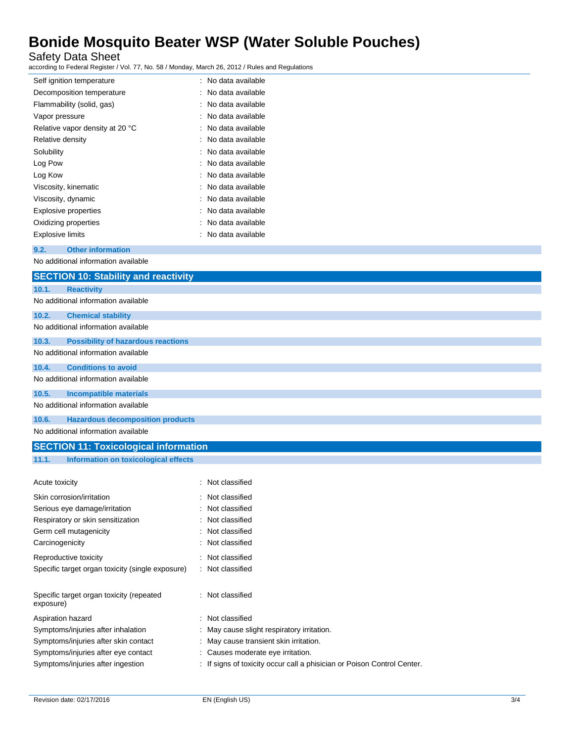Safety Data Sheet

according to Federal Register / Vol. 77, No. 58 / Monday, March 26, 2012 / Rules and Regulations

| Self ignition temperature                             | : No data available                                                   |
|-------------------------------------------------------|-----------------------------------------------------------------------|
| Decomposition temperature                             | No data available                                                     |
| Flammability (solid, gas)                             | No data available                                                     |
| Vapor pressure                                        | No data available                                                     |
| Relative vapor density at 20 °C                       | No data available                                                     |
| Relative density                                      | No data available                                                     |
| Solubility                                            | No data available                                                     |
| Log Pow                                               | No data available                                                     |
| Log Kow                                               | No data available                                                     |
| Viscosity, kinematic                                  | No data available                                                     |
| Viscosity, dynamic                                    | No data available                                                     |
| <b>Explosive properties</b>                           | No data available                                                     |
| Oxidizing properties                                  | No data available                                                     |
| <b>Explosive limits</b>                               | No data available                                                     |
| 9.2.<br><b>Other information</b>                      |                                                                       |
| No additional information available                   |                                                                       |
| <b>SECTION 10: Stability and reactivity</b>           |                                                                       |
| 10.1.<br><b>Reactivity</b>                            |                                                                       |
| No additional information available                   |                                                                       |
| 10.2.<br><b>Chemical stability</b>                    |                                                                       |
| No additional information available                   |                                                                       |
| 10.3.<br><b>Possibility of hazardous reactions</b>    |                                                                       |
| No additional information available                   |                                                                       |
| 10.4.<br><b>Conditions to avoid</b>                   |                                                                       |
| No additional information available                   |                                                                       |
|                                                       |                                                                       |
| 10.5.<br><b>Incompatible materials</b>                |                                                                       |
| No additional information available                   |                                                                       |
| 10.6.<br><b>Hazardous decomposition products</b>      |                                                                       |
| No additional information available                   |                                                                       |
| <b>SECTION 11: Toxicological information</b>          |                                                                       |
| 11.1.<br><b>Information on toxicological effects</b>  |                                                                       |
|                                                       |                                                                       |
| Acute toxicity                                        | : Not classified                                                      |
| Skin corrosion/irritation                             | Not classified                                                        |
| Serious eye damage/irritation                         | Not classified                                                        |
| Respiratory or skin sensitization                     | Not classified                                                        |
| Germ cell mutagenicity                                | Not classified                                                        |
| Carcinogenicity                                       | Not classified                                                        |
| Reproductive toxicity                                 | Not classified                                                        |
| Specific target organ toxicity (single exposure)      | Not classified                                                        |
| Specific target organ toxicity (repeated<br>exposure) | : Not classified                                                      |
| Aspiration hazard                                     | Not classified                                                        |
| Symptoms/injuries after inhalation                    | May cause slight respiratory irritation.                              |
| Symptoms/injuries after skin contact                  | May cause transient skin irritation.                                  |
| Symptoms/injuries after eye contact                   | Causes moderate eye irritation.                                       |
| Symptoms/injuries after ingestion                     | If signs of toxicity occur call a phisician or Poison Control Center. |
|                                                       |                                                                       |